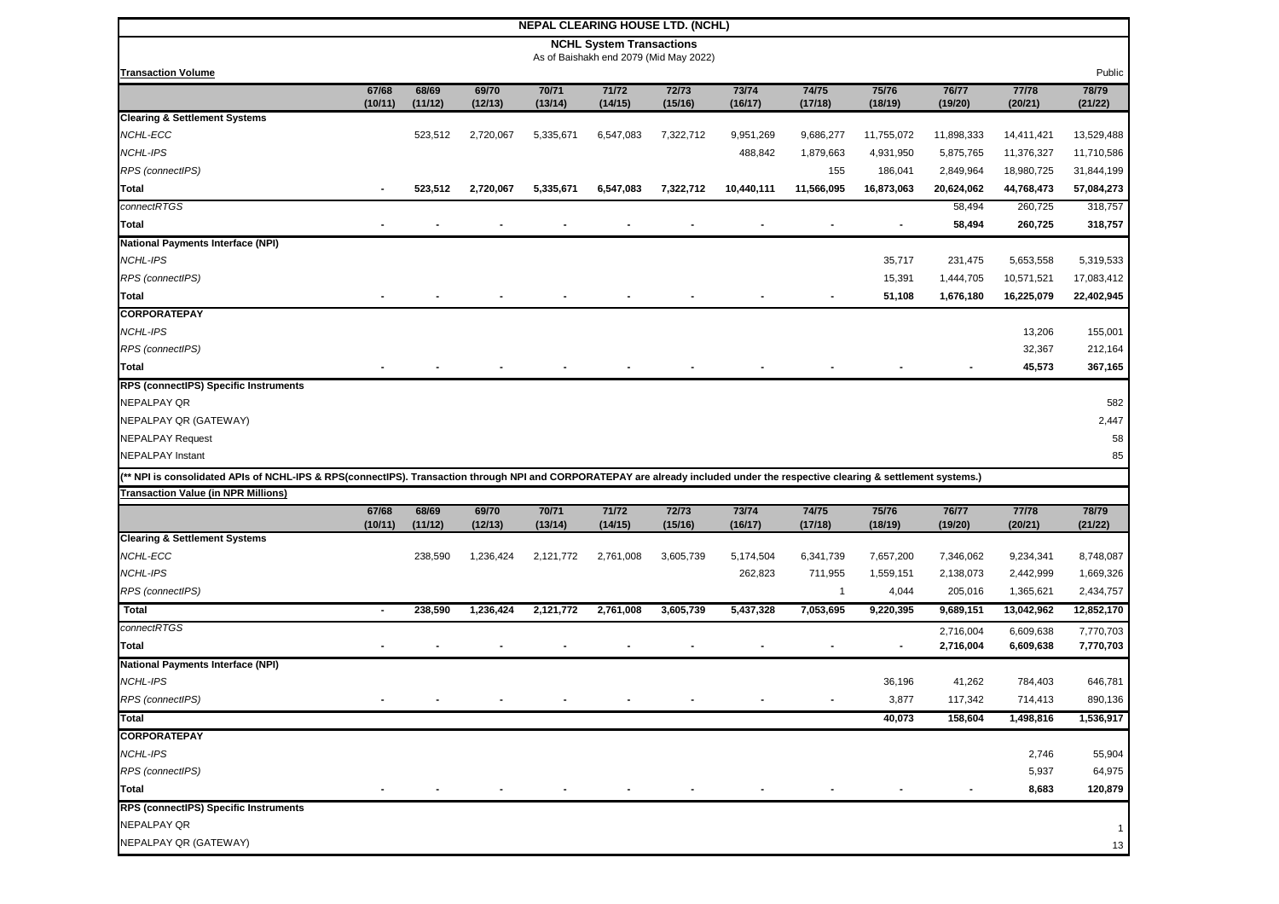|                                                                                                                                                                                |                  |                  |                  |                  |                                 | <b>NEPAL CLEARING HOUSE LTD. (NCHL)</b> |                  |                  |                  |                  |                  |                  |
|--------------------------------------------------------------------------------------------------------------------------------------------------------------------------------|------------------|------------------|------------------|------------------|---------------------------------|-----------------------------------------|------------------|------------------|------------------|------------------|------------------|------------------|
|                                                                                                                                                                                |                  |                  |                  |                  | <b>NCHL System Transactions</b> |                                         |                  |                  |                  |                  |                  |                  |
| <b>Transaction Volume</b>                                                                                                                                                      |                  |                  |                  |                  |                                 | As of Baishakh end 2079 (Mid May 2022)  |                  |                  |                  |                  |                  | Public           |
|                                                                                                                                                                                | 67/68            | 68/69            | 69/70            | 70/71            | 71/72                           | 72/73                                   | 73/74            | 74/75            | 75/76            | 76/77            | 77/78            | 78/79            |
|                                                                                                                                                                                | (10/11)          | (11/12)          | (12/13)          | (13/14)          | (14/15)                         | (15/16)                                 | (16/17)          | (17/18)          | (18/19)          | (19/20)          | (20/21)          | (21/22)          |
| <b>Clearing &amp; Settlement Systems</b>                                                                                                                                       |                  |                  |                  |                  |                                 |                                         |                  |                  |                  |                  |                  |                  |
| <b>NCHL-ECC</b>                                                                                                                                                                |                  | 523,512          | 2,720,067        | 5,335,671        | 6,547,083                       | 7,322,712                               | 9,951,269        | 9,686,277        | 11,755,072       | 11,898,333       | 14,411,421       | 13,529,488       |
| <b>NCHL-IPS</b>                                                                                                                                                                |                  |                  |                  |                  |                                 |                                         | 488,842          | 1,879,663        | 4,931,950        | 5,875,765        | 11,376,327       | 11,710,586       |
| RPS (connectIPS)                                                                                                                                                               |                  |                  |                  |                  |                                 |                                         |                  | 155              | 186,041          | 2,849,964        | 18,980,725       | 31,844,199       |
| Total                                                                                                                                                                          |                  | 523,512          | 2,720,067        | 5,335,671        | 6,547,083                       | 7,322,712                               | 10,440,111       | 11,566,095       | 16,873,063       | 20,624,062       | 44,768,473       | 57,084,273       |
| connectRTGS                                                                                                                                                                    |                  |                  |                  |                  |                                 |                                         |                  |                  |                  | 58,494           | 260,725          | 318,757          |
| Total                                                                                                                                                                          |                  |                  |                  |                  |                                 |                                         |                  |                  |                  | 58,494           | 260,725          | 318,757          |
| <b>National Payments Interface (NPI)</b>                                                                                                                                       |                  |                  |                  |                  |                                 |                                         |                  |                  |                  |                  |                  |                  |
| <b>NCHL-IPS</b>                                                                                                                                                                |                  |                  |                  |                  |                                 |                                         |                  |                  | 35,717           | 231,475          | 5,653,558        | 5,319,533        |
| RPS (connectIPS)                                                                                                                                                               |                  |                  |                  |                  |                                 |                                         |                  |                  | 15,391           | 1,444,705        | 10,571,521       | 17,083,412       |
| Total                                                                                                                                                                          |                  |                  |                  |                  |                                 |                                         |                  |                  | 51,108           | 1,676,180        | 16,225,079       | 22,402,945       |
| <b>CORPORATEPAY</b>                                                                                                                                                            |                  |                  |                  |                  |                                 |                                         |                  |                  |                  |                  |                  |                  |
| <b>NCHL-IPS</b>                                                                                                                                                                |                  |                  |                  |                  |                                 |                                         |                  |                  |                  |                  | 13,206           | 155,001          |
| RPS (connectIPS)                                                                                                                                                               |                  |                  |                  |                  |                                 |                                         |                  |                  |                  |                  | 32,367           | 212,164          |
| <b>Total</b>                                                                                                                                                                   |                  |                  |                  |                  |                                 |                                         |                  |                  |                  |                  | 45,573           | 367,165          |
| RPS (connectIPS) Specific Instruments                                                                                                                                          |                  |                  |                  |                  |                                 |                                         |                  |                  |                  |                  |                  |                  |
| <b>NEPALPAY QR</b>                                                                                                                                                             |                  |                  |                  |                  |                                 |                                         |                  |                  |                  |                  |                  | 582              |
| NEPALPAY QR (GATEWAY)                                                                                                                                                          |                  |                  |                  |                  |                                 |                                         |                  |                  |                  |                  |                  | 2,447            |
| <b>NEPALPAY Request</b>                                                                                                                                                        |                  |                  |                  |                  |                                 |                                         |                  |                  |                  |                  |                  | 58               |
| <b>NEPALPAY Instant</b>                                                                                                                                                        |                  |                  |                  |                  |                                 |                                         |                  |                  |                  |                  |                  | 85               |
| (** NPI is consolidated APIs of NCHL-IPS & RPS(connectIPS). Transaction through NPI and CORPORATEPAY are already included under the respective clearing & settlement systems.) |                  |                  |                  |                  |                                 |                                         |                  |                  |                  |                  |                  |                  |
| <b>Transaction Value (in NPR Millions)</b>                                                                                                                                     |                  |                  |                  |                  |                                 |                                         |                  |                  |                  |                  |                  |                  |
|                                                                                                                                                                                | 67/68<br>(10/11) | 68/69<br>(11/12) | 69/70<br>(12/13) | 70/71<br>(13/14) | 71/72<br>(14/15)                | 72/73<br>(15/16)                        | 73/74<br>(16/17) | 74/75<br>(17/18) | 75/76<br>(18/19) | 76/77<br>(19/20) | 77/78<br>(20/21) | 78/79<br>(21/22) |
| <b>Clearing &amp; Settlement Systems</b>                                                                                                                                       |                  |                  |                  |                  |                                 |                                         |                  |                  |                  |                  |                  |                  |
| NCHL-ECC                                                                                                                                                                       |                  | 238,590          | 1,236,424        | 2,121,772        | 2,761,008                       | 3,605,739                               | 5,174,504        | 6,341,739        | 7,657,200        | 7,346,062        | 9,234,341        | 8,748,087        |
| NCHL-IPS                                                                                                                                                                       |                  |                  |                  |                  |                                 |                                         | 262,823          | 711,955          | 1,559,151        | 2,138,073        | 2,442,999        | 1,669,326        |
| RPS (connectIPS)                                                                                                                                                               |                  |                  |                  |                  |                                 |                                         |                  | $\mathbf{1}$     | 4,044            | 205,016          | 1,365,621        | 2,434,757        |
| <b>Total</b>                                                                                                                                                                   |                  | 238,590          | 1,236,424        | 2,121,772        | 2,761,008                       | 3,605,739                               | 5,437,328        | 7,053,695        | 9,220,395        | 9,689,151        | 13,042,962       | 12,852,170       |
| connectRTGS                                                                                                                                                                    |                  |                  |                  |                  |                                 |                                         |                  |                  |                  | 2,716,004        | 6,609,638        | 7,770,703        |
| <b>Total</b>                                                                                                                                                                   |                  |                  |                  |                  |                                 |                                         |                  |                  |                  | 2,716,004        | 6,609,638        | 7,770,703        |
| <b>National Payments Interface (NPI)</b>                                                                                                                                       |                  |                  |                  |                  |                                 |                                         |                  |                  |                  |                  |                  |                  |
| <b>NCHL-IPS</b>                                                                                                                                                                |                  |                  |                  |                  |                                 |                                         |                  |                  | 36,196           | 41,262           | 784,403          | 646,781          |
| RPS (connectIPS)                                                                                                                                                               |                  |                  |                  |                  |                                 |                                         |                  |                  | 3,877            | 117,342          | 714,413          | 890,136          |
| <b>Total</b>                                                                                                                                                                   |                  |                  |                  |                  |                                 |                                         |                  |                  | 40,073           | 158,604          | 1,498,816        | 1,536,917        |
| <b>CORPORATEPAY</b>                                                                                                                                                            |                  |                  |                  |                  |                                 |                                         |                  |                  |                  |                  |                  |                  |
| NCHL-IPS                                                                                                                                                                       |                  |                  |                  |                  |                                 |                                         |                  |                  |                  |                  | 2,746            | 55,904           |
| RPS (connectIPS)                                                                                                                                                               |                  |                  |                  |                  |                                 |                                         |                  |                  |                  |                  | 5,937            | 64,975           |
| <b>Total</b>                                                                                                                                                                   |                  |                  |                  |                  |                                 |                                         |                  |                  |                  |                  | 8,683            | 120,879          |
| RPS (connectIPS) Specific Instruments                                                                                                                                          |                  |                  |                  |                  |                                 |                                         |                  |                  |                  |                  |                  |                  |
| <b>NEPALPAY QR</b>                                                                                                                                                             |                  |                  |                  |                  |                                 |                                         |                  |                  |                  |                  |                  | $\mathbf{1}$     |
| NEPALPAY QR (GATEWAY)                                                                                                                                                          |                  |                  |                  |                  |                                 |                                         |                  |                  |                  |                  |                  | 13               |
|                                                                                                                                                                                |                  |                  |                  |                  |                                 |                                         |                  |                  |                  |                  |                  |                  |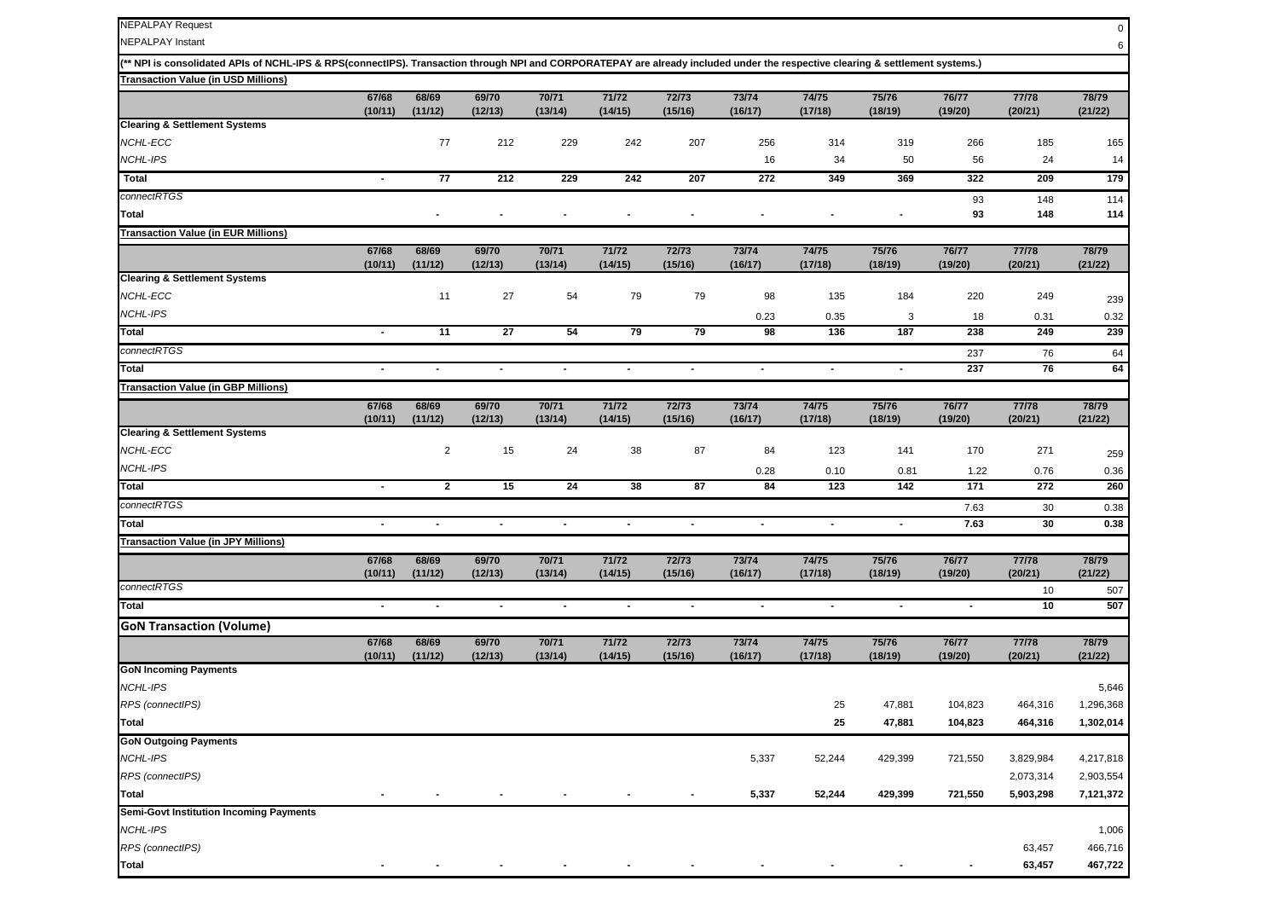| <b>NEPALPAY Request</b>                                                                                                                                                        |                  |                          |                  |                  |                  |                  |                  |                  |                  |                  |                  | 0                |
|--------------------------------------------------------------------------------------------------------------------------------------------------------------------------------|------------------|--------------------------|------------------|------------------|------------------|------------------|------------------|------------------|------------------|------------------|------------------|------------------|
| <b>NEPALPAY Instant</b>                                                                                                                                                        |                  |                          |                  |                  |                  |                  |                  |                  |                  |                  |                  | 6                |
| (** NPI is consolidated APIs of NCHL-IPS & RPS(connectIPS). Transaction through NPI and CORPORATEPAY are already included under the respective clearing & settlement systems.) |                  |                          |                  |                  |                  |                  |                  |                  |                  |                  |                  |                  |
| <b>Transaction Value (in USD Millions)</b>                                                                                                                                     |                  |                          |                  |                  |                  |                  |                  |                  |                  |                  |                  |                  |
|                                                                                                                                                                                | 67/68<br>(10/11) | 68/69<br>(11/12)         | 69/70<br>(12/13) | 70/71<br>(13/14) | 71/72<br>(14/15) | 72/73<br>(15/16) | 73/74<br>(16/17) | 74/75<br>(17/18) | 75/76<br>(18/19) | 76/77<br>(19/20) | 77/78<br>(20/21) | 78/79<br>(21/22) |
| <b>Clearing &amp; Settlement Systems</b>                                                                                                                                       |                  |                          |                  |                  |                  |                  |                  |                  |                  |                  |                  |                  |
| <b>NCHL-ECC</b>                                                                                                                                                                |                  | 77                       | 212              | 229              | 242              | 207              | 256              | 314              | 319              | 266              | 185              | 165              |
| NCHL-IPS                                                                                                                                                                       |                  |                          |                  |                  |                  |                  | 16               | 34               | 50               | 56               | 24               | 14               |
| <b>Total</b>                                                                                                                                                                   | $\sim$           | 77                       | $\overline{212}$ | 229              | 242              | 207              | 272              | 349              | 369              | 322              | 209              | 179              |
| connectRTGS                                                                                                                                                                    |                  |                          |                  |                  |                  |                  |                  |                  |                  | 93               | 148              | 114              |
| Total                                                                                                                                                                          |                  |                          |                  |                  |                  |                  |                  |                  |                  | 93               | 148              | 114              |
| <b>Transaction Value (in EUR Millions)</b>                                                                                                                                     |                  |                          |                  |                  |                  |                  |                  |                  |                  |                  |                  |                  |
|                                                                                                                                                                                | 67/68<br>(10/11) | 68/69<br>(11/12)         | 69/70<br>(12/13) | 70/71<br>(13/14) | 71/72<br>(14/15) | 72/73<br>(15/16) | 73/74<br>(16/17) | 74/75<br>(17/18) | 75/76<br>(18/19) | 76/77<br>(19/20) | 77/78<br>(20/21) | 78/79<br>(21/22) |
| <b>Clearing &amp; Settlement Systems</b>                                                                                                                                       |                  |                          |                  |                  |                  |                  |                  |                  |                  |                  |                  |                  |
| <b>NCHL-ECC</b>                                                                                                                                                                |                  | 11                       | 27               | 54               | 79               | 79               | 98               | 135              | 184              | 220              | 249              | 239              |
| NCHL-IPS                                                                                                                                                                       |                  |                          |                  |                  |                  |                  | 0.23             | 0.35             | 3                | 18               | 0.31             | 0.32             |
| Total                                                                                                                                                                          |                  | 11                       | 27               | 54               | 79               | 79               | 98               | 136              | 187              | 238              | 249              | 239              |
| connectRTGS                                                                                                                                                                    |                  |                          |                  |                  |                  |                  |                  |                  |                  | 237              | 76               | 64               |
| Total                                                                                                                                                                          |                  |                          | $\blacksquare$   |                  | $\blacksquare$   | $\blacksquare$   |                  | $\blacksquare$   | $\blacksquare$   | 237              | 76               | 64               |
| <b>Transaction Value (in GBP Millions)</b>                                                                                                                                     |                  |                          |                  |                  |                  |                  |                  |                  |                  |                  |                  |                  |
|                                                                                                                                                                                | 67/68<br>(10/11) | 68/69<br>(11/12)         | 69/70<br>(12/13) | 70/71<br>(13/14) | 71/72<br>(14/15) | 72/73<br>(15/16) | 73/74<br>(16/17) | 74/75<br>(17/18) | 75/76<br>(18/19) | 76/77<br>(19/20) | 77/78<br>(20/21) | 78/79<br>(21/22) |
| <b>Clearing &amp; Settlement Systems</b>                                                                                                                                       |                  |                          |                  |                  |                  |                  |                  |                  |                  |                  |                  |                  |
| NCHL-ECC                                                                                                                                                                       |                  | $\overline{c}$           | 15               | 24               | 38               | 87               | 84               | 123              | 141              | 170              | 271              | 259              |
| <b>NCHL-IPS</b>                                                                                                                                                                |                  |                          |                  |                  |                  |                  | 0.28             | 0.10             | 0.81             | 1.22             | 0.76             | 0.36             |
| Total                                                                                                                                                                          | $\blacksquare$   | $\mathbf{2}$             | 15               | 24               | 38               | 87               | 84               | 123              | 142              | 171              | 272              | 260              |
| connectRTGS                                                                                                                                                                    |                  |                          |                  |                  |                  |                  |                  |                  |                  | 7.63             | 30               | 0.38             |
| Total                                                                                                                                                                          | $\blacksquare$   | $\overline{\phantom{a}}$ | $\blacksquare$   | $\blacksquare$   | $\blacksquare$   | $\blacksquare$   | $\blacksquare$   | $\blacksquare$   | $\sim$           | 7.63             | 30               | 0.38             |
| <b>Transaction Value (in JPY Millions)</b>                                                                                                                                     |                  |                          |                  |                  |                  |                  |                  |                  |                  |                  |                  |                  |
|                                                                                                                                                                                | 67/68<br>(10/11) | 68/69<br>(11/12)         | 69/70<br>(12/13) | 70/71<br>(13/14) | 71/72<br>(14/15) | 72/73<br>(15/16) | 73/74<br>(16/17) | 74/75<br>(17/18) | 75/76<br>(18/19) | 76/77<br>(19/20) | 77/78<br>(20/21) | 78/79<br>(21/22) |
| connectRTGS                                                                                                                                                                    |                  |                          |                  |                  |                  |                  |                  |                  |                  |                  | 10               | 507              |
| <b>Total</b>                                                                                                                                                                   | $\sim$           | $\overline{\phantom{a}}$ | $\blacksquare$   | $\blacksquare$   | $\blacksquare$   | $\blacksquare$   | $\sim$           | $\blacksquare$   | $\blacksquare$   | $\blacksquare$   | 10               | 507              |
| <b>GoN Transaction (Volume)</b>                                                                                                                                                |                  |                          |                  |                  |                  |                  |                  |                  |                  |                  |                  |                  |
|                                                                                                                                                                                | 67/68<br>(10/11) | 68/69<br>(11/12)         | 69/70<br>(12/13) | 70/71<br>(13/14) | 71/72<br>(14/15) | 72/73<br>(15/16) | 73/74<br>(16/17) | 74/75<br>(17/18) | 75/76<br>(18/19) | 76/77<br>(19/20) | 77/78<br>(20/21) | 78/79<br>(21/22) |
| <b>GoN Incoming Payments</b>                                                                                                                                                   |                  |                          |                  |                  |                  |                  |                  |                  |                  |                  |                  |                  |
| NCHL-IPS                                                                                                                                                                       |                  |                          |                  |                  |                  |                  |                  |                  |                  |                  |                  | 5,646            |
| RPS (connectIPS)                                                                                                                                                               |                  |                          |                  |                  |                  |                  |                  | 25               | 47,881           | 104,823          | 464,316          | 1,296,368        |
| Total                                                                                                                                                                          |                  |                          |                  |                  |                  |                  |                  | 25               | 47,881           | 104,823          | 464,316          | 1,302,014        |
| <b>GoN Outgoing Payments</b>                                                                                                                                                   |                  |                          |                  |                  |                  |                  |                  |                  |                  |                  |                  |                  |
| NCHL-IPS                                                                                                                                                                       |                  |                          |                  |                  |                  |                  | 5,337            | 52,244           | 429,399          | 721,550          | 3,829,984        | 4,217,818        |
| RPS (connectIPS)                                                                                                                                                               |                  |                          |                  |                  |                  |                  |                  |                  |                  |                  | 2,073,314        | 2,903,554        |
| Total                                                                                                                                                                          |                  |                          |                  |                  |                  | $\blacksquare$   | 5,337            | 52,244           | 429,399          | 721,550          | 5,903,298        | 7,121,372        |
| <b>Semi-Govt Institution Incoming Payments</b>                                                                                                                                 |                  |                          |                  |                  |                  |                  |                  |                  |                  |                  |                  |                  |
| NCHL-IPS                                                                                                                                                                       |                  |                          |                  |                  |                  |                  |                  |                  |                  |                  |                  | 1,006            |
| RPS (connectIPS)                                                                                                                                                               |                  |                          |                  |                  |                  |                  |                  |                  |                  |                  | 63,457           | 466,716          |
| Total                                                                                                                                                                          | $\sim$           | $\blacksquare$           | $\blacksquare$   |                  |                  |                  |                  | $\blacksquare$   |                  |                  | 63,457           | 467,722          |